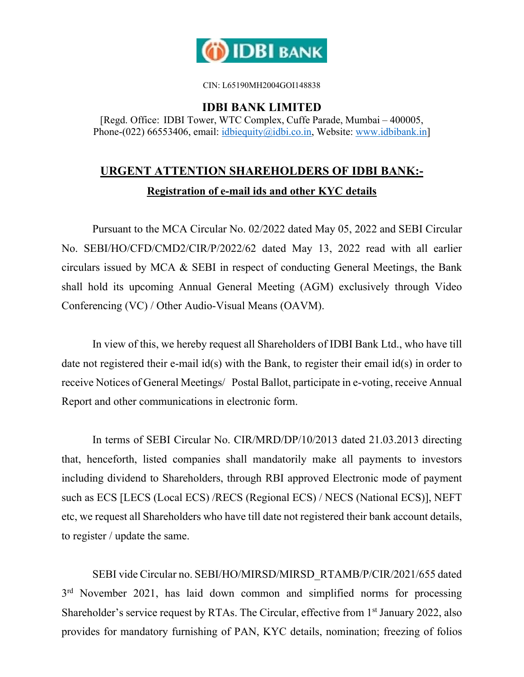

CIN: L65190MH2004GOI148838

**IDBI BANK LIMITED** 

[Regd. Office: IDBI Tower, WTC Complex, Cuffe Parade, Mumbai – 400005, Phone-(022) 66553406, email: idbiequity@idbi.co.in, Website: www.idbibank.in]

## **URGENT ATTENTION SHAREHOLDERS OF IDBI BANK:- Registration of e-mail ids and other KYC details**

Pursuant to the MCA Circular No. 02/2022 dated May 05, 2022 and SEBI Circular No. SEBI/HO/CFD/CMD2/CIR/P/2022/62 dated May 13, 2022 read with all earlier circulars issued by MCA & SEBI in respect of conducting General Meetings, the Bank shall hold its upcoming Annual General Meeting (AGM) exclusively through Video Conferencing (VC) / Other Audio-Visual Means (OAVM).

In view of this, we hereby request all Shareholders of IDBI Bank Ltd., who have till date not registered their e-mail id(s) with the Bank, to register their email id(s) in order to receive Notices of General Meetings/ Postal Ballot, participate in e-voting, receive Annual Report and other communications in electronic form.

In terms of SEBI Circular No. CIR/MRD/DP/10/2013 dated 21.03.2013 directing that, henceforth, listed companies shall mandatorily make all payments to investors including dividend to Shareholders, through RBI approved Electronic mode of payment such as ECS [LECS (Local ECS) /RECS (Regional ECS) / NECS (National ECS)], NEFT etc, we request all Shareholders who have till date not registered their bank account details, to register / update the same.

SEBI vide Circular no. SEBI/HO/MIRSD/MIRSD\_RTAMB/P/CIR/2021/655 dated 3<sup>rd</sup> November 2021, has laid down common and simplified norms for processing Shareholder's service request by RTAs. The Circular, effective from 1<sup>st</sup> January 2022, also provides for mandatory furnishing of PAN, KYC details, nomination; freezing of folios